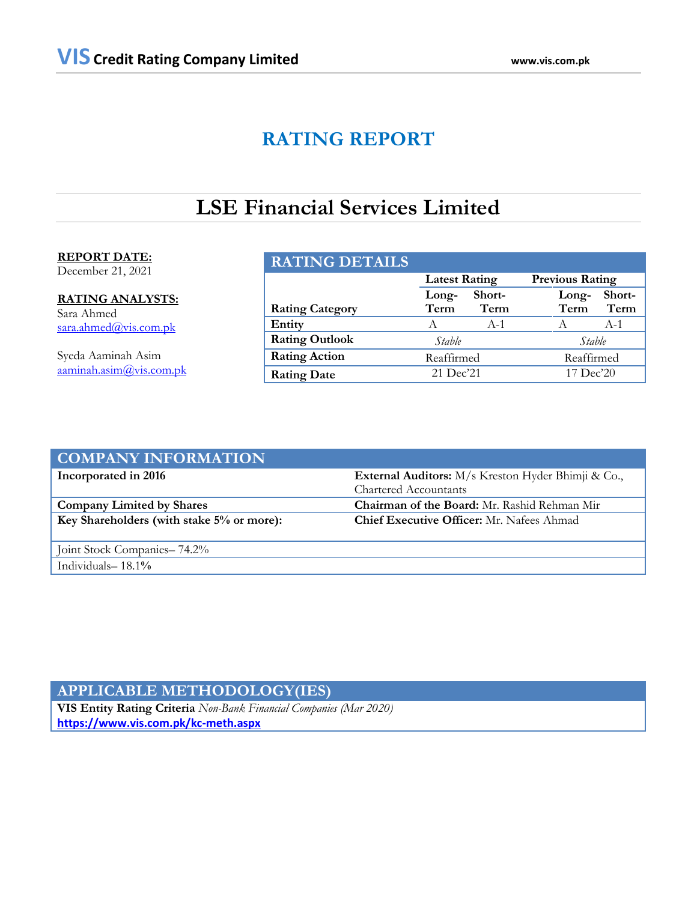# **RATING REPORT**

# **LSE Financial Services Limited**

# **REPORT DATE:**

December 21, 2021

**RATING ANALYSTS:** Sara Ahmed [sara.ahmed@vis.com.pk](mailto:sara.ahmed@vis.com.pk)

Syeda Aaminah Asim [aaminah.asim@vis.com.pk](mailto:aaminah.asim@vis.com.pk)

| <b>RATING DETAILS</b>  |                      |        |                        |        |
|------------------------|----------------------|--------|------------------------|--------|
|                        | <b>Latest Rating</b> |        | <b>Previous Rating</b> |        |
|                        | Long-                | Short- | Long-                  | Short- |
| <b>Rating Category</b> | Term                 | Term   | Term                   | Term   |
| Entity                 | A                    | $A-1$  | A                      | $A-1$  |
| <b>Rating Outlook</b>  | Stable               |        | Stable                 |        |
| <b>Rating Action</b>   | Reaffirmed           |        | Reaffirmed             |        |
| <b>Rating Date</b>     | 21 Dec'21            |        | 17 Dec'20              |        |

| <b>COMPANY INFORMATION</b>                |                                                    |  |  |
|-------------------------------------------|----------------------------------------------------|--|--|
| Incorporated in 2016                      | External Auditors: M/s Kreston Hyder Bhimji & Co., |  |  |
|                                           | Chartered Accountants                              |  |  |
| <b>Company Limited by Shares</b>          | Chairman of the Board: Mr. Rashid Rehman Mir       |  |  |
| Key Shareholders (with stake 5% or more): | <b>Chief Executive Officer:</b> Mr. Nafees Ahmad   |  |  |
|                                           |                                                    |  |  |
| Joint Stock Companies - 74.2%             |                                                    |  |  |
| Individuals- $18.1\%$                     |                                                    |  |  |

# **APPLICABLE METHODOLOGY(IES)**

**VIS Entity Rating Criteria** *Non-Bank Financial Companies (Mar 2020)* **<https://www.vis.com.pk/kc-meth.aspx>**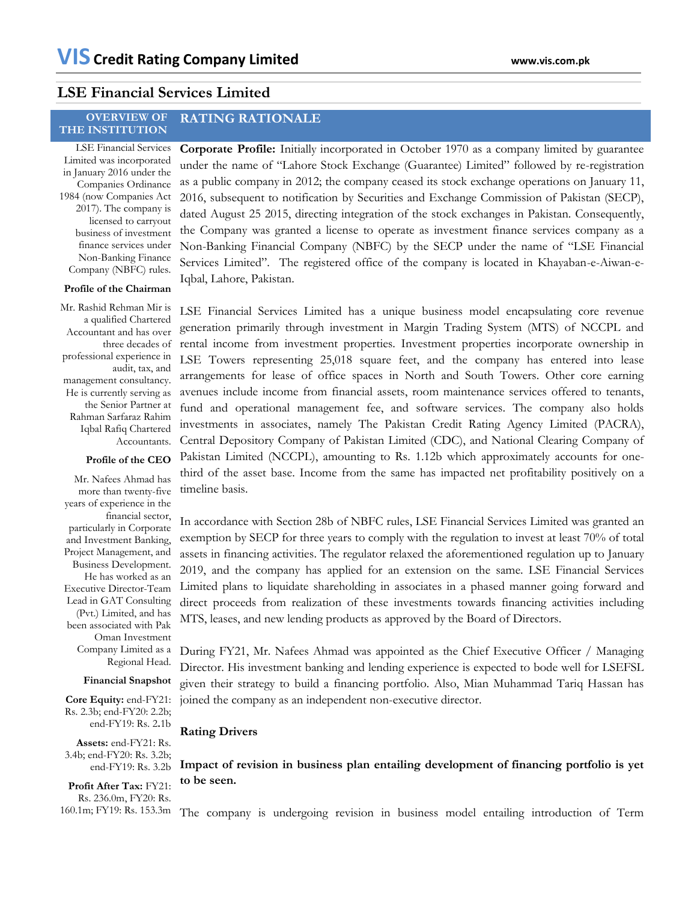# **LSE Financial Services Limited**

### **OVERVIEW OF THE INSTITUTION RATING RATIONALE**

LSE Financial Services Limited was incorporated in January 2016 under the Companies Ordinance 1984 (now Companies Act 2017). The company is licensed to carryout business of investment finance services under Non-Banking Finance Company (NBFC) rules.

# **Profile of the Chairman**

Mr. Rashid Rehman Mir is a qualified Chartered Accountant and has over three decades of professional experience in audit, tax, and management consultancy. He is currently serving as the Senior Partner at Rahman Sarfaraz Rahim Iqbal Rafiq Chartered Accountants.

### **Profile of the CEO**

Mr. Nafees Ahmad has more than twenty-five years of experience in the financial sector, particularly in Corporate and Investment Banking, Project Management, and Business Development. He has worked as an Executive Director-Team Lead in GAT Consulting (Pvt.) Limited, and has been associated with Pak Oman Investment Company Limited as a Regional Head.

## **Financial Snapshot**

**Core Equity:** end-FY21: Rs. 2.3b; end-FY20: 2.2b; end-FY19: Rs. 2**.**1b

**Assets:** end-FY21: Rs. 3.4b; end-FY20: Rs. 3.2b; end-FY19: Rs. 3.2b

**Profit After Tax:** FY21: Rs. 236.0m, FY20: Rs.

**Corporate Profile:** Initially incorporated in October 1970 as a company limited by guarantee under the name of "Lahore Stock Exchange (Guarantee) Limited" followed by re-registration as a public company in 2012; the company ceased its stock exchange operations on January 11, 2016, subsequent to notification by Securities and Exchange Commission of Pakistan (SECP), dated August 25 2015, directing integration of the stock exchanges in Pakistan. Consequently, the Company was granted a license to operate as investment finance services company as a Non-Banking Financial Company (NBFC) by the SECP under the name of "LSE Financial Services Limited". The registered office of the company is located in Khayaban-e-Aiwan-e-Iqbal, Lahore, Pakistan.

LSE Financial Services Limited has a unique business model encapsulating core revenue generation primarily through investment in Margin Trading System (MTS) of NCCPL and rental income from investment properties. Investment properties incorporate ownership in LSE Towers representing 25,018 square feet, and the company has entered into lease arrangements for lease of office spaces in North and South Towers. Other core earning avenues include income from financial assets, room maintenance services offered to tenants, fund and operational management fee, and software services. The company also holds investments in associates, namely The Pakistan Credit Rating Agency Limited (PACRA), Central Depository Company of Pakistan Limited (CDC), and National Clearing Company of Pakistan Limited (NCCPL), amounting to Rs. 1.12b which approximately accounts for onethird of the asset base. Income from the same has impacted net profitability positively on a timeline basis.

In accordance with Section 28b of NBFC rules, LSE Financial Services Limited was granted an exemption by SECP for three years to comply with the regulation to invest at least 70% of total assets in financing activities. The regulator relaxed the aforementioned regulation up to January 2019, and the company has applied for an extension on the same. LSE Financial Services Limited plans to liquidate shareholding in associates in a phased manner going forward and direct proceeds from realization of these investments towards financing activities including MTS, leases, and new lending products as approved by the Board of Directors.

During FY21, Mr. Nafees Ahmad was appointed as the Chief Executive Officer / Managing Director. His investment banking and lending experience is expected to bode well for LSEFSL given their strategy to build a financing portfolio. Also, Mian Muhammad Tariq Hassan has joined the company as an independent non-executive director.

# **Rating Drivers**

**Impact of revision in business plan entailing development of financing portfolio is yet to be seen.** 

160.1m; FY19: Rs. 153.3m The company is undergoing revision in business model entailing introduction of Term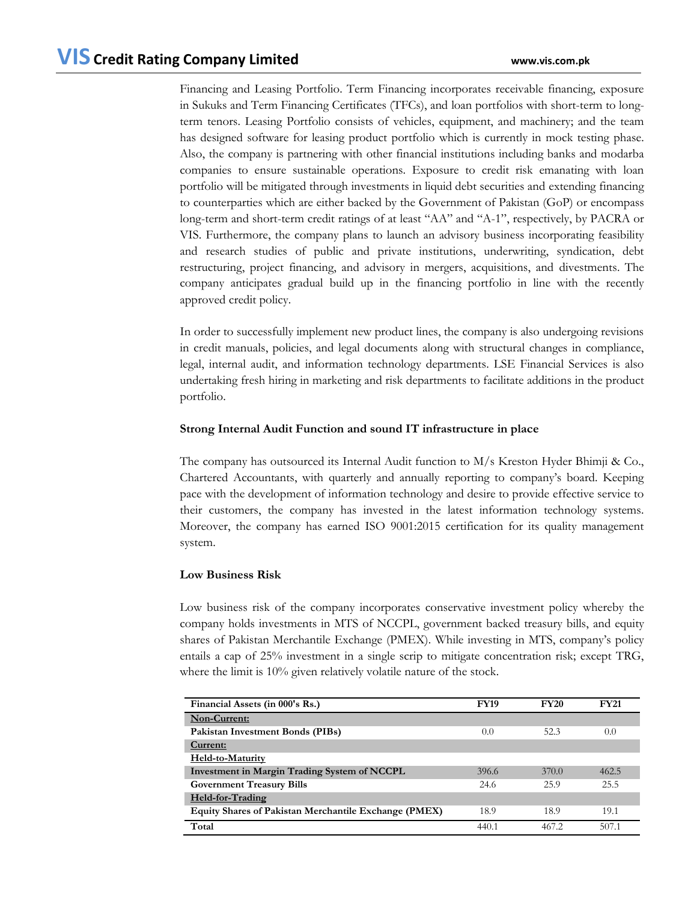Financing and Leasing Portfolio. Term Financing incorporates receivable financing, exposure in Sukuks and Term Financing Certificates (TFCs), and loan portfolios with short-term to longterm tenors. Leasing Portfolio consists of vehicles, equipment, and machinery; and the team has designed software for leasing product portfolio which is currently in mock testing phase. Also, the company is partnering with other financial institutions including banks and modarba companies to ensure sustainable operations. Exposure to credit risk emanating with loan portfolio will be mitigated through investments in liquid debt securities and extending financing to counterparties which are either backed by the Government of Pakistan (GoP) or encompass long-term and short-term credit ratings of at least "AA" and "A-1", respectively, by PACRA or VIS. Furthermore, the company plans to launch an advisory business incorporating feasibility and research studies of public and private institutions, underwriting, syndication, debt restructuring, project financing, and advisory in mergers, acquisitions, and divestments. The company anticipates gradual build up in the financing portfolio in line with the recently approved credit policy.

In order to successfully implement new product lines, the company is also undergoing revisions in credit manuals, policies, and legal documents along with structural changes in compliance, legal, internal audit, and information technology departments. LSE Financial Services is also undertaking fresh hiring in marketing and risk departments to facilitate additions in the product portfolio.

# **Strong Internal Audit Function and sound IT infrastructure in place**

The company has outsourced its Internal Audit function to M/s Kreston Hyder Bhimji & Co., Chartered Accountants, with quarterly and annually reporting to company's board. Keeping pace with the development of information technology and desire to provide effective service to their customers, the company has invested in the latest information technology systems. Moreover, the company has earned ISO 9001:2015 certification for its quality management system.

# **Low Business Risk**

Low business risk of the company incorporates conservative investment policy whereby the company holds investments in MTS of NCCPL, government backed treasury bills, and equity shares of Pakistan Merchantile Exchange (PMEX). While investing in MTS, company's policy entails a cap of 25% investment in a single scrip to mitigate concentration risk; except TRG, where the limit is 10% given relatively volatile nature of the stock.

| Financial Assets (in 000's Rs.)                       | <b>FY19</b> | <b>FY20</b> | <b>FY21</b> |
|-------------------------------------------------------|-------------|-------------|-------------|
| Non-Current:                                          |             |             |             |
| Pakistan Investment Bonds (PIBs)                      | 0.0         | 52.3        | 0.0         |
| Current:                                              |             |             |             |
| Held-to-Maturity                                      |             |             |             |
| <b>Investment in Margin Trading System of NCCPL</b>   | 396.6       | 370.0       | 462.5       |
| <b>Government Treasury Bills</b>                      | 24.6        | 25.9        | 25.5        |
| Held-for-Trading                                      |             |             |             |
| Equity Shares of Pakistan Merchantile Exchange (PMEX) | 18.9        | 18.9        | 19.1        |
| Total                                                 | 440.1       | 467.2       | 507.1       |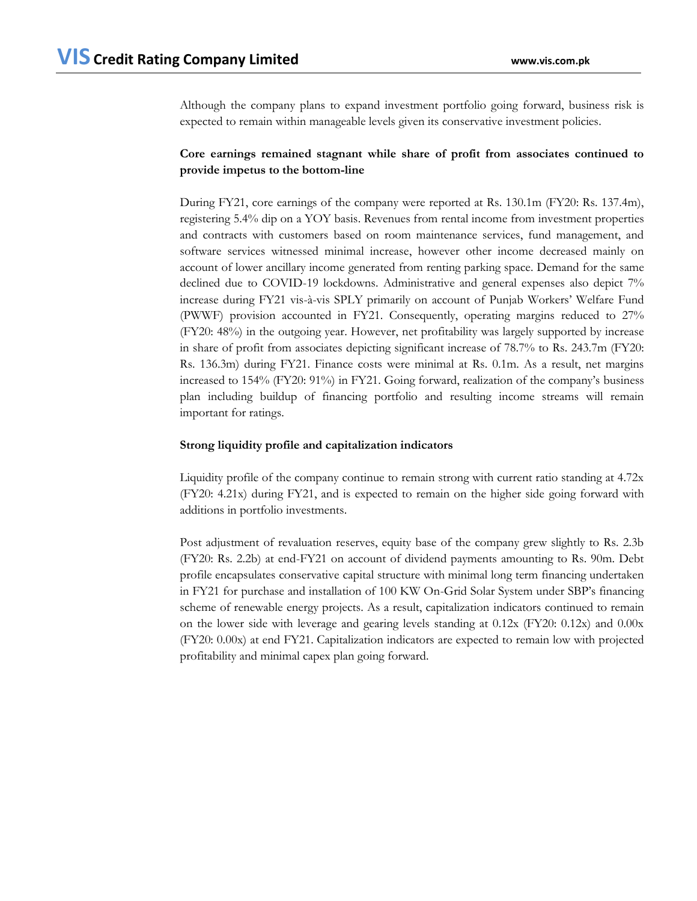Although the company plans to expand investment portfolio going forward, business risk is expected to remain within manageable levels given its conservative investment policies.

# **Core earnings remained stagnant while share of profit from associates continued to provide impetus to the bottom-line**

During FY21, core earnings of the company were reported at Rs. 130.1m (FY20: Rs. 137.4m), registering 5.4% dip on a YOY basis. Revenues from rental income from investment properties and contracts with customers based on room maintenance services, fund management, and software services witnessed minimal increase, however other income decreased mainly on account of lower ancillary income generated from renting parking space. Demand for the same declined due to COVID-19 lockdowns. Administrative and general expenses also depict 7% increase during FY21 vis-à-vis SPLY primarily on account of Punjab Workers' Welfare Fund (PWWF) provision accounted in FY21. Consequently, operating margins reduced to 27% (FY20: 48%) in the outgoing year. However, net profitability was largely supported by increase in share of profit from associates depicting significant increase of 78.7% to Rs. 243.7m (FY20: Rs. 136.3m) during FY21. Finance costs were minimal at Rs. 0.1m. As a result, net margins increased to 154% (FY20: 91%) in FY21. Going forward, realization of the company's business plan including buildup of financing portfolio and resulting income streams will remain important for ratings.

# **Strong liquidity profile and capitalization indicators**

Liquidity profile of the company continue to remain strong with current ratio standing at 4.72x (FY20: 4.21x) during FY21, and is expected to remain on the higher side going forward with additions in portfolio investments.

Post adjustment of revaluation reserves, equity base of the company grew slightly to Rs. 2.3b (FY20: Rs. 2.2b) at end-FY21 on account of dividend payments amounting to Rs. 90m. Debt profile encapsulates conservative capital structure with minimal long term financing undertaken in FY21 for purchase and installation of 100 KW On-Grid Solar System under SBP's financing scheme of renewable energy projects. As a result, capitalization indicators continued to remain on the lower side with leverage and gearing levels standing at 0.12x (FY20: 0.12x) and 0.00x (FY20: 0.00x) at end FY21. Capitalization indicators are expected to remain low with projected profitability and minimal capex plan going forward.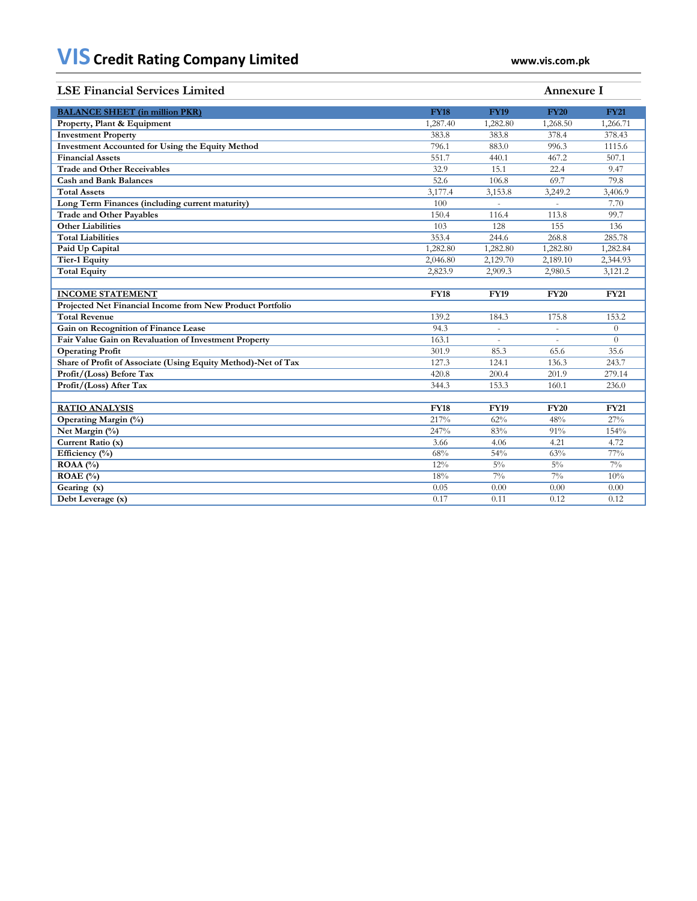# **LSE Financial Services Limited Annexure I BALANCE SHEET (in million PKR) FY18 FY19 FY20 FY21 Property, Plant & Equipment** 1,287.40 1,282.80 1,268.50 1,266.71 1,282.80 1,268.50 1,266.71 **Investment Property** 383.8 383.8 378.4 378.43<br> **Investment Accounted for Using the Equity Method** 796.1 883.0 996.3 1115.6 **Investment Accounted for Using the Equity Method** 796.1 883.0 996.3 1115.6<br> **Financial Assets** 551.7 440.1 467.2 507.1 **Financial Assets** 551.7 440.1 467.2 507.1 **Trade and Other Receivables** 32.9 15.1 22.4 9.47<br> **Cash and Bank Balances** 52.6 106.8 69.7 79.8 **Cash and Bank Balances** 52.6 106.8 69.7 79.8 **Total Assets** 3,406.9 3,406.9 3,406.9 3,406.9 3,406.9 3,406.9 3,406.9 3,406.9 3 3,406.9 3,406.9 3 3,406.9 3 3,406.9 3 3,406.9 3 3 406.9 3 406.9 3 406.9 3 406.9 3 406.9 3 406.9 3 406.9 3 406.9 3 406.9 3 406.9 3 406.9 3 406 **Long Term Finances (including current maturity)** 100 - 7.70<br> **Trade and Other Payables** 150.4 116.4 113.8 99.7 **Trade and Other Payables** 150.4 116.4 113.8 99.7<br> **Other Liabilities** 103 128 155 136 **Other Liabilities** 136 136 136 136 136 136 137 128 128 135 136 **Total Liabilities** 285.78 285.78 285.78 285.78 285.78 285.78 285.78 285.78 285.78 285.78 285.78 285.78 285.78 285.78 285.78 285.78 285.78 285.78 285.78 285.78 285.78 285.78 285.78 285.78 285.78 285.78 285.78 285.78 285.78 **Paid Up Capital** 1,282.80 1,282.80 1,282.80 1,282.84 1<br> **1,282.80** 1,282.80 1,282.84 1<br> **1,282.80** 1,282.80 1,282.84 1<br> **1,282.80** 2,129.70 2,189.10 2.344.93 **Tier-1 Equity** 2,046.80 2,129.70 2,189.10 2,344.93 **Total Equity** 2,823.9 2,909.3 2,980.5 3,121.2 **INCOME STATEMENT FY18 FY19 FY20 FY21 Projected Net Financial Income from New Product Portfolio Total Revenue** 139.2 184.3 175.8 153.2 184.3 175.8 153.2 **Gain on Recognition of Finance Lease** 94.3 - 0 **Fair Value Gain on Revaluation of Investment Property** 163.1 **163.1 163.1 163.1 163.1 163.1 163.1 163.1 163.1 163.1 163.1 163.1 163.1 163.1 163.1 163.1 163.1 163.1 163.1 163.1 163.1 Operating Profit** 301.9 85.3 65.6 35.6 **Share of Profit of Associate (Using Equity Method)-Net of Tax** 127.3 124.1 136.3 **Profit/(Loss) Before Tax** 420.8 200.4 201.9 279.14 **Profit/(Loss) After Tax** 344.3 153.3 160.1 236.0 **RATIO ANALYSIS FY18 FY19 FY20 FY21 Operating Margin (%)**<br> **Operating Margin (%)**<br> **Operating Margin (%)**<br> **Operating Margin (%)**<br>
247% 83% 91% 154% **Net Margin (%) Current Ratio (x)** 3.66 4.06 4.21 4.72 **Efficiency (%)** 68% 63% 63% 63% 63% 77% **ROAA (%)** 12% 5% 5% 5% 7% **ROAE (%)** 18% 7% 7% 7% 10% **Gearing (x)** 0.05 0.00 0.00 0.00 **Debt Leverage (x)** 0.17 0.11 0.12 0.12 0.12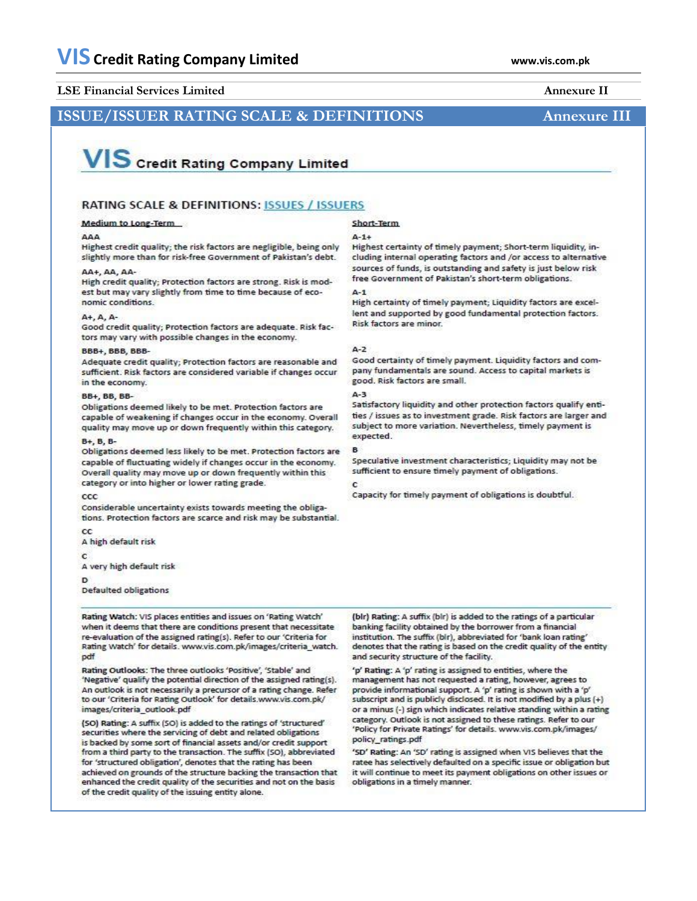## **LSE Financial Services Limited Annexure II**

# **ISSUE/ISSUER RATING SCALE & DEFINITIONS Annexure III**

# **VIS** Credit Rating Company Limited

## RATING SCALE & DEFINITIONS: ISSUES / ISSUERS

### Medium to Long-Term

### 444

Highest credit quality: the risk factors are negligible, being only slightly more than for risk-free Government of Pakistan's debt.

### AA+, AA, AA-

High credit quality; Protection factors are strong. Risk is modest but may vary slightly from time to time because of economic conditions.

### $A+A, A$

Good credit quality; Protection factors are adequate. Risk factors may vary with possible changes in the economy.

### BBB+, BBB, BBB-

Adequate credit quality; Protection factors are reasonable and sufficient. Risk factors are considered variable if changes occur in the economy.

### **BB+, BB, BB-**

Obligations deemed likely to be met. Protection factors are capable of weakening if changes occur in the economy. Overall quality may move up or down frequently within this category.

### B+ B B-

Obligations deemed less likely to be met. Protection factors are capable of fluctuating widely if changes occur in the economy. Overall quality may move up or down frequently within this category or into higher or lower rating grade.

### CCC

Considerable uncertainty exists towards meeting the obligations. Protection factors are scarce and risk may be substantial.

cc A high default risk

 $\epsilon$ 

A very high default risk

<sub>D</sub>

Defaulted obligations

Rating Watch: VIS places entities and issues on 'Rating Watch' when it deems that there are conditions present that necessitate re-evaluation of the assigned rating(s). Refer to our 'Criteria for Rating Watch' for details. www.vis.com.pk/images/criteria\_watch. pdf

Rating Outlooks: The three outlooks 'Positive', 'Stable' and 'Negative' qualify the potential direction of the assigned rating(s). An outlook is not necessarily a precursor of a rating change. Refer to our 'Criteria for Rating Outlook' for details.www.vis.com.pk/ images/criteria outlook.pdf

(SO) Rating: A suffix (SO) is added to the ratings of 'structured' securities where the servicing of debt and related obligations is backed by some sort of financial assets and/or credit support from a third party to the transaction. The suffix (SO), abbreviated for 'structured obligation', denotes that the rating has been achieved on grounds of the structure backing the transaction that enhanced the credit quality of the securities and not on the basis of the credit quality of the issuing entity alone.

# Short-Term

### $A - 1 +$

Highest certainty of timely payment; Short-term liquidity, including internal operating factors and /or access to alternative sources of funds, is outstanding and safety is just below risk free Government of Pakistan's short-term obligations.

## $A - 1$

High certainty of timely payment; Liquidity factors are excellent and supported by good fundamental protection factors. Risk factors are minor.

### $A - 2$

Good certainty of timely payment. Liquidity factors and company fundamentals are sound. Access to capital markets is good. Risk factors are small.

### 4-3

Satisfactory liquidity and other protection factors qualify entities / issues as to investment grade. Risk factors are larger and subject to more variation. Nevertheless, timely payment is expected.

Speculative investment characteristics; Liquidity may not be sufficient to ensure timely payment of obligations.

Capacity for timely payment of obligations is doubtful.

(blr) Rating: A suffix (blr) is added to the ratings of a particular banking facility obtained by the borrower from a financial institution. The suffix (bir), abbreviated for 'bank loan rating' denotes that the rating is based on the credit quality of the entity and security structure of the facility.

'p' Rating: A 'p' rating is assigned to entities, where the management has not requested a rating, however, agrees to provide informational support. A 'p' rating is shown with a 'p' subscript and is publicly disclosed. It is not modified by a plus (+) or a minus (-) sign which indicates relative standing within a rating category. Outlook is not assigned to these ratings. Refer to our 'Policy for Private Ratings' for details. www.vis.com.pk/images/ policy ratings pdf

'SD' Rating: An 'SD' rating is assigned when VIS believes that the ratee has selectively defaulted on a specific issue or obligation but it will continue to meet its payment obligations on other issues or obligations in a timely manner.